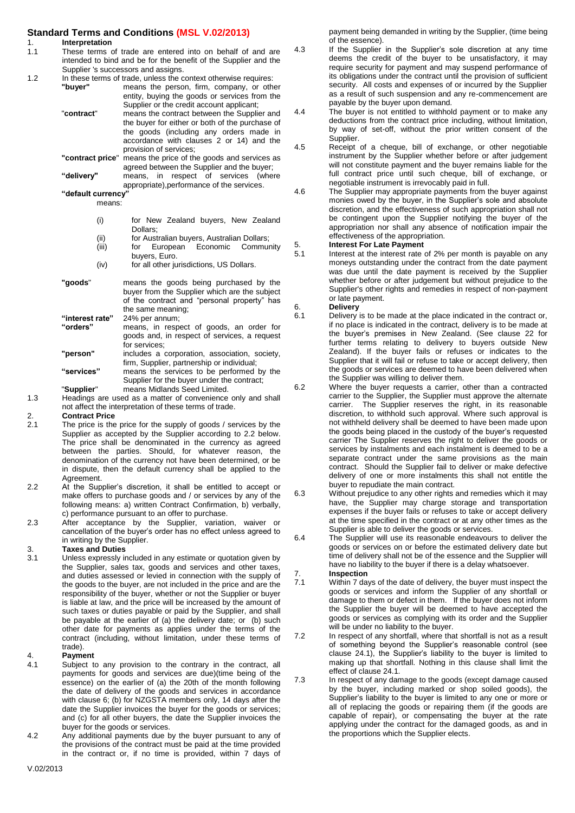### **Standard Terms and Conditions (MSL V.02/2013)**

- 1. **Interpretation**<br>1.1 These terms of These terms of trade are entered into on behalf of and are intended to bind and be for the benefit of the Supplier and the Supplier 's successors and assigns.
- 1.2 In these terms of trade, unless the context otherwise requires:<br>"**buyer"** means the person, firm, company, or other
	- means the person, firm, company, or other entity, buying the goods or services from the Supplier or the credit account applicant;
	- "**contract**" means the contract between the Supplier and the buyer for either or both of the purchase of the goods (including any orders made in accordance with clauses 2 or 14) and the provision of services;
	- **"contract price**" means the price of the goods and services as agreed between the Supplier and the buyer; **"delivery"** means, in respect of services (where appropriate),performance of the services.

**"default currency"** 

- means:
	- (i) for New Zealand buyers, New Zealand Dollars;
	- (ii) for Australian buyers, Australian Dollars;<br>(iii) for European Economic Community
		- for European buyers, Euro.
	- (iv) for all other jurisdictions, US Dollars.
- **"goods**" means the goods being purchased by the buyer from the Supplier which are the subject of the contract and "personal property" has the same meaning;
- **"interest rate"** 24% per annum; means, in respect of goods, an order for goods and, in respect of services, a request for services;
- **"person"** includes a corporation, association, society, firm, Supplier, partnership or individual; **"services"** means the services to be performed by the
- Supplier for the buyer under the contract; "**Supplier**" means Midlands Seed Limited.
- 1.3 Headings are used as a matter of convenience only and shall not affect the interpretation of these terms of trade.

- 2. **Contract Price** The price is the price for the supply of goods / services by the Supplier as accepted by the Supplier according to 2.2 below. The price shall be denominated in the currency as agreed between the parties. Should, for whatever reason, the denomination of the currency not have been determined, or be in dispute, then the default currency shall be applied to the Agreement.
- 2.2 At the Supplier's discretion, it shall be entitled to accept or make offers to purchase goods and / or services by any of the following means: a) written Contract Confirmation, b) verbally, c) performance pursuant to an offer to purchase.
- 2.3 After acceptance by the Supplier, variation, waiver or cancellation of the buyer's order has no effect unless agreed to in writing by the Supplier.

### 3. **Taxes and Duties**

Unless expressly included in any estimate or quotation given by the Supplier, sales tax, goods and services and other taxes, and duties assessed or levied in connection with the supply of the goods to the buyer, are not included in the price and are the responsibility of the buyer, whether or not the Supplier or buyer is liable at law, and the price will be increased by the amount of such taxes or duties payable or paid by the Supplier, and shall be payable at the earlier of (a) the delivery date; or (b) such other date for payments as applies under the terms of the contract (including, without limitation, under these terms of trade).

- 4. **Payment** Subject to any provision to the contrary in the contract, all payments for goods and services are due)(time being of the essence) on the earlier of (a) the 20th of the month following the date of delivery of the goods and services in accordance with clause 6; (b) for NZGSTA members only, 14 days after the date the Supplier invoices the buyer for the goods or services; and (c) for all other buyers, the date the Supplier invoices the buyer for the goods or services.
- 4.2 Any additional payments due by the buyer pursuant to any of the provisions of the contract must be paid at the time provided in the contract or, if no time is provided, within 7 days of

payment being demanded in writing by the Supplier, (time being of the essence).

4.3 If the Supplier in the Supplier's sole discretion at any time deems the credit of the buyer to be unsatisfactory, it may require security for payment and may suspend performance of its obligations under the contract until the provision of sufficient security. All costs and expenses of or incurred by the Supplier as a result of such suspension and any re-commencement are payable by the buyer upon demand.

4.4 The buyer is not entitled to withhold payment or to make any deductions from the contract price including, without limitation, by way of set-off, without the prior written consent of the Supplier.

- 4.5 Receipt of a cheque, bill of exchange, or other negotiable instrument by the Supplier whether before or after judgement will not constitute payment and the buyer remains liable for the full contract price until such cheque, bill of exchange, or negotiable instrument is irrevocably paid in full.
- 4.6 The Supplier may appropriate payments from the buyer against monies owed by the buyer, in the Supplier's sole and absolute discretion, and the effectiveness of such appropriation shall not be contingent upon the Supplier notifying the buyer of the appropriation nor shall any absence of notification impair the effectiveness of the appropriation.

### 5. **Interest For Late Payment**

Interest at the interest rate of 2% per month is payable on any moneys outstanding under the contract from the date payment was due until the date payment is received by the Supplier whether before or after judgement but without prejudice to the Supplier's other rights and remedies in respect of non-payment or late payment.

# 6. **Delivery**

Delivery is to be made at the place indicated in the contract or, if no place is indicated in the contract, delivery is to be made at the buyer's premises in New Zealand. (See clause 22 for further terms relating to delivery to buyers outside New Zealand). If the buyer fails or refuses or indicates to the Supplier that it will fail or refuse to take or accept delivery, then the goods or services are deemed to have been delivered when the Supplier was willing to deliver them.

- 6.2 Where the buyer requests a carrier, other than a contracted carrier to the Supplier, the Supplier must approve the alternate carrier. The Supplier reserves the right, in its reasonable discretion, to withhold such approval. Where such approval is not withheld delivery shall be deemed to have been made upon the goods being placed in the custody of the buyer's requested carrier The Supplier reserves the right to deliver the goods or services by instalments and each instalment is deemed to be a separate contract under the same provisions as the main contract. Should the Supplier fail to deliver or make defective delivery of one or more instalments this shall not entitle the buyer to repudiate the main contract.
- 6.3 Without prejudice to any other rights and remedies which it may have, the Supplier may charge storage and transportation expenses if the buyer fails or refuses to take or accept delivery at the time specified in the contract or at any other times as the Supplier is able to deliver the goods or services.
- 6.4 The Supplier will use its reasonable endeavours to deliver the goods or services on or before the estimated delivery date but time of delivery shall not be of the essence and the Supplier will have no liability to the buyer if there is a delay whatsoever.

#### 7. **Inspection** Within 7 days of the date of delivery, the buyer must inspect the goods or services and inform the Supplier of any shortfall or damage to them or defect in them. If the buyer does not inform the Supplier the buyer will be deemed to have accepted the goods or services as complying with its order and the Supplier will be under no liability to the buyer.

7.2 In respect of any shortfall, where that shortfall is not as a result of something beyond the Supplier's reasonable control (see clause 24.1), the Supplier's liability to the buyer is limited to making up that shortfall. Nothing in this clause shall limit the effect of clause 24.1.

7.3 In respect of any damage to the goods (except damage caused by the buyer, including marked or shop soiled goods), the Supplier's liability to the buyer is limited to any one or more or all of replacing the goods or repairing them (if the goods are capable of repair), or compensating the buyer at the rate applying under the contract for the damaged goods, as and in the proportions which the Supplier elects.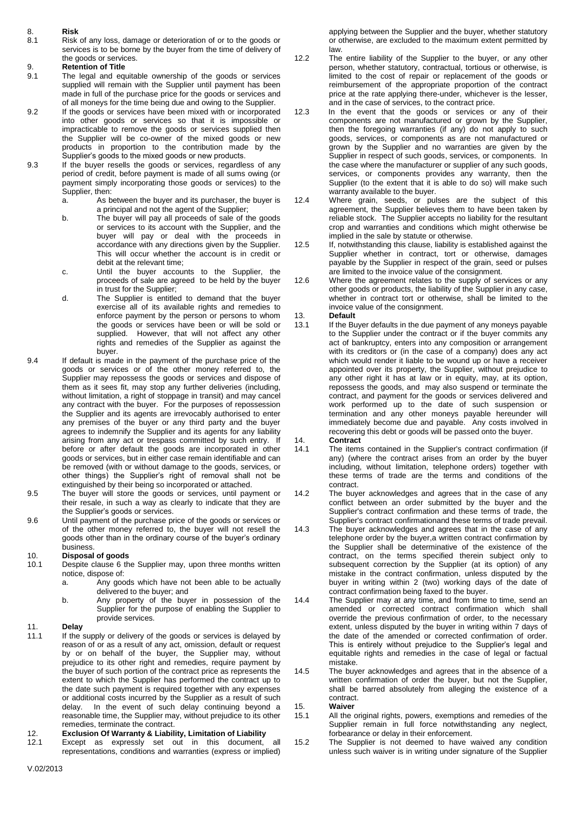### 8. **Risk**

Risk of any loss, damage or deterioration of or to the goods or services is to be borne by the buyer from the time of delivery of the goods or services.

# 9. **Retention of Title**

- The legal and equitable ownership of the goods or services supplied will remain with the Supplier until payment has been made in full of the purchase price for the goods or services and of all moneys for the time being due and owing to the Supplier.
- 9.2 If the goods or services have been mixed with or incorporated into other goods or services so that it is impossible or impracticable to remove the goods or services supplied then the Supplier will be co-owner of the mixed goods or new products in proportion to the contribution made by the Supplier's goods to the mixed goods or new products.
- 9.3 If the buyer resells the goods or services, regardless of any period of credit, before payment is made of all sums owing (or payment simply incorporating those goods or services) to the
	- Supplier, then:<br>a. As b As between the buyer and its purchaser, the buyer is a principal and not the agent of the Supplier;
	- b. The buyer will pay all proceeds of sale of the goods or services to its account with the Supplier, and the buyer will pay or deal with the proceeds in accordance with any directions given by the Supplier. This will occur whether the account is in credit or debit at the relevant time;
	- c. Until the buyer accounts to the Supplier, the proceeds of sale are agreed to be held by the buyer in trust for the Supplier;
	- d. The Supplier is entitled to demand that the buyer exercise all of its available rights and remedies to enforce payment by the person or persons to whom the goods or services have been or will be sold or supplied. However, that will not affect any other rights and remedies of the Supplier as against the buyer.
- 9.4 If default is made in the payment of the purchase price of the goods or services or of the other money referred to, the Supplier may repossess the goods or services and dispose of them as it sees fit, may stop any further deliveries (including, without limitation, a right of stoppage in transit) and may cancel any contract with the buyer. For the purposes of repossession the Supplier and its agents are irrevocably authorised to enter any premises of the buyer or any third party and the buyer agrees to indemnify the Supplier and its agents for any liability arising from any act or trespass committed by such entry. If before or after default the goods are incorporated in other goods or services, but in either case remain identifiable and can be removed (with or without damage to the goods, services, or other things) the Supplier's right of removal shall not be extinguished by their being so incorporated or attached.
- 9.5 The buyer will store the goods or services, until payment or their resale, in such a way as clearly to indicate that they are the Supplier's goods or services.
- 9.6 Until payment of the purchase price of the goods or services or of the other money referred to, the buyer will not resell the goods other than in the ordinary course of the buyer's ordinary business.

#### 10. **Disposal of goods**

- 10.1 Despite clause 6 the Supplier may, upon three months written notice, dispose of:
	- a. Any goods which have not been able to be actually delivered to the buyer; and
	- b. Any property of the buyer in possession of the Supplier for the purpose of enabling the Supplier to provide services.

### 11. **Delay**

11.1 If the supply or delivery of the goods or services is delayed by reason of or as a result of any act, omission, default or request by or on behalf of the buyer, the Supplier may, without prejudice to its other right and remedies, require payment by the buyer of such portion of the contract price as represents the extent to which the Supplier has performed the contract up to the date such payment is required together with any expenses or additional costs incurred by the Supplier as a result of such delay. In the event of such delay continuing beyond a reasonable time, the Supplier may, without prejudice to its other remedies, terminate the contract.

#### 12. **Exclusion Of Warranty & Liability, Limitation of Liability**

12.1 Except as expressly set out in this document, all representations, conditions and warranties (express or implied) applying between the Supplier and the buyer, whether statutory or otherwise, are excluded to the maximum extent permitted by law.

- 12.2 The entire liability of the Supplier to the buyer, or any other person, whether statutory, contractual, tortious or otherwise, is limited to the cost of repair or replacement of the goods or reimbursement of the appropriate proportion of the contract price at the rate applying there-under, whichever is the lesser, and in the case of services, to the contract price.
- 12.3 In the event that the goods or services or any of their components are not manufactured or grown by the Supplier, then the foregoing warranties (if any) do not apply to such goods, services, or components as are not manufactured or grown by the Supplier and no warranties are given by the Supplier in respect of such goods, services, or components. In the case where the manufacturer or supplier of any such goods, services, or components provides any warranty, then the Supplier (to the extent that it is able to do so) will make such warranty available to the buyer.
- 12.4 Where grain, seeds, or pulses are the subject of this agreement, the Supplier believes them to have been taken by reliable stock. The Supplier accepts no liability for the resultant crop and warranties and conditions which might otherwise be implied in the sale by statute or otherwise.
- 12.5 If, notwithstanding this clause, liability is established against the Supplier whether in contract, tort or otherwise, damages payable by the Supplier in respect of the grain, seed or pulses are limited to the invoice value of the consignment.
- 12.6 Where the agreement relates to the supply of services or any other goods or products, the liability of the Supplier in any case, whether in contract tort or otherwise, shall be limited to the invoice value of the consignment.
- 13. **Default**<br>13.1 If the Bu
	- If the Buyer defaults in the due payment of any moneys payable to the Supplier under the contract or if the buyer commits any act of bankruptcy, enters into any composition or arrangement with its creditors or (in the case of a company) does any act which would render it liable to be wound up or have a receiver appointed over its property, the Supplier, without prejudice to any other right it has at law or in equity, may, at its option, repossess the goods, and may also suspend or terminate the contract, and payment for the goods or services delivered and work performed up to the date of such suspension or termination and any other moneys payable hereunder will immediately become due and payable. Any costs involved in recovering this debt or goods will be passed onto the buyer.
- 14. **Contract**
	- The items contained in the Supplier's contract confirmation (if any) (where the contract arises from an order by the buyer including, without limitation, telephone orders) together with these terms of trade are the terms and conditions of the contract.
- 14.2 The buyer acknowledges and agrees that in the case of any conflict between an order submitted by the buyer and the Supplier's contract confirmation and these terms of trade, the Supplier's contract confirmationand these terms of trade prevail.
- 14.3 The buyer acknowledges and agrees that in the case of any telephone order by the buyer,a written contract confirmation by the Supplier shall be determinative of the existence of the contract, on the terms specified therein subject only to subsequent correction by the Supplier (at its option) of any mistake in the contract confirmation, unless disputed by the buyer in writing within 2 (two) working days of the date of contract confirmation being faxed to the buyer.
- 14.4 The Supplier may at any time, and from time to time, send an amended or corrected contract confirmation which shall override the previous confirmation of order, to the necessary extent, unless disputed by the buyer in writing within 7 days of the date of the amended or corrected confirmation of order. This is entirely without prejudice to the Supplier's legal and equitable rights and remedies in the case of legal or factual mistake.
- 14.5 The buyer acknowledges and agrees that in the absence of a written confirmation of order the buyer, but not the Supplier, shall be barred absolutely from alleging the existence of a contract.
- 15. **Waiver**
- All the original rights, powers, exemptions and remedies of the Supplier remain in full force notwithstanding any neglect, forbearance or delay in their enforcement.
- 15.2 The Supplier is not deemed to have waived any condition unless such waiver is in writing under signature of the Supplier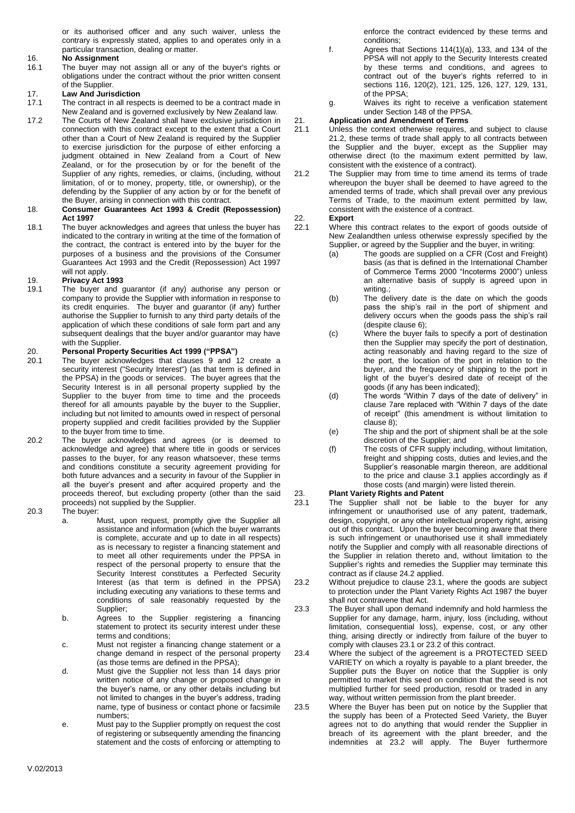or its authorised officer and any such waiver, unless the contrary is expressly stated, applies to and operates only in a particular transaction, dealing or matter.

# 16. **No Assignment**<br>16.1 The buyer may

The buyer may not assign all or any of the buyer's rights or obligations under the contract without the prior written consent of the Supplier.

# 17. **Law And Jurisdiction**

- The contract in all respects is deemed to be a contract made in New Zealand and is governed exclusively by New Zealand law.
- 17.2 The Courts of New Zealand shall have exclusive jurisdiction in connection with this contract except to the extent that a Court other than a Court of New Zealand is required by the Supplier to exercise jurisdiction for the purpose of either enforcing a judgment obtained in New Zealand from a Court of New Zealand, or for the prosecution by or for the benefit of the Supplier of any rights, remedies, or claims, (including, without limitation, of or to money, property, title, or ownership), or the defending by the Supplier of any action by or for the benefit of the Buyer, arising in connection with this contract.

#### 18. **Consumer Guarantees Act 1993 & Credit (Repossession) Act 1997**

18.1 The buyer acknowledges and agrees that unless the buyer has indicated to the contrary in writing at the time of the formation of the contract, the contract is entered into by the buyer for the purposes of a business and the provisions of the Consumer Guarantees Act 1993 and the Credit (Repossession) Act 1997 will not apply.

# 19. **Privacy Act 1993**

The buyer and guarantor (if any) authorise any person or company to provide the Supplier with information in response to its credit enquiries. The buyer and guarantor (if any) further authorise the Supplier to furnish to any third party details of the application of which these conditions of sale form part and any subsequent dealings that the buyer and/or guarantor may have with the Supplier.

- 20. **Personal Property Securities Act 1999 ("PPSA")** The buyer acknowledges that clauses 9 and 12 create a security interest ("Security Interest") (as that term is defined in the PPSA) in the goods or services. The buyer agrees that the Security Interest is in all personal property supplied by the Supplier to the buyer from time to time and the proceeds thereof for all amounts payable by the buyer to the Supplier, including but not limited to amounts owed in respect of personal property supplied and credit facilities provided by the Supplier to the buyer from time to time.
- 20.2 The buyer acknowledges and agrees (or is deemed to acknowledge and agree) that where title in goods or services passes to the buyer, for any reason whatsoever, these terms and conditions constitute a security agreement providing for both future advances and a security in favour of the Supplier in all the buyer's present and after acquired property and the proceeds thereof, but excluding property (other than the said proceeds) not supplied by the Supplier.

#### 20.3 The buyer:

- a. Must, upon request, promptly give the Supplier all assistance and information (which the buyer warrants is complete, accurate and up to date in all respects) as is necessary to register a financing statement and to meet all other requirements under the PPSA in respect of the personal property to ensure that the Security Interest constitutes a Perfected Security Interest (as that term is defined in the PPSA) including executing any variations to these terms and conditions of sale reasonably requested by the Supplier;
- b. Agrees to the Supplier registering a financing statement to protect its security interest under these terms and conditions;
- c. Must not register a financing change statement or a change demand in respect of the personal property (as those terms are defined in the PPSA);
- d. Must give the Supplier not less than 14 days prior written notice of any change or proposed change in the buyer's name, or any other details including but not limited to changes in the buyer's address, trading name, type of business or contact phone or facsimile numbers;
- e. Must pay to the Supplier promptly on request the cost of registering or subsequently amending the financing statement and the costs of enforcing or attempting to

enforce the contract evidenced by these terms and conditions;

- f. Agrees that Sections 114(1)(a), 133, and 134 of the PPSA will not apply to the Security Interests created by these terms and conditions, and agrees to contract out of the buyer's rights referred to in sections 116, 120(2), 121, 125, 126, 127, 129, 131, of the PPSA;
- g. Waives its right to receive a verification statement under Section 148 of the PPSA.

# 21. **Application and Amendment of Terms**

- Unless the context otherwise requires, and subject to clause 21.2, these terms of trade shall apply to all contracts between the Supplier and the buyer, except as the Supplier may otherwise direct (to the maximum extent permitted by law, consistent with the existence of a contract).
- 21.2 The Supplier may from time to time amend its terms of trade whereupon the buyer shall be deemed to have agreed to the amended terms of trade, which shall prevail over any previous Terms of Trade, to the maximum extent permitted by law, consistent with the existence of a contract.

# 22. **Export**

- Where this contract relates to the export of goods outside of New Zealandthen unless otherwise expressly specified by the Supplier, or agreed by the Supplier and the buyer, in writing:
	- (a) The goods are supplied on a CFR (Cost and Freight) basis (as that is defined in the International Chamber of Commerce Terms 2000 "Incoterms 2000") unless an alternative basis of supply is agreed upon in writing.;
	- (b) The delivery date is the date on which the goods pass the ship's rail in the port of shipment and delivery occurs when the goods pass the ship's rail (despite clause 6);
	- (c) Where the buyer fails to specify a port of destination then the Supplier may specify the port of destination, acting reasonably and having regard to the size of the port, the location of the port in relation to the buyer, and the frequency of shipping to the port in light of the buyer's desired date of receipt of the goods (if any has been indicated);
	- (d) The words "Within 7 days of the date of delivery" in clause 7are replaced with "Within 7 days of the date of receipt" (this amendment is without limitation to clause 8);
	- (e) The ship and the port of shipment shall be at the sole discretion of the Supplier; and
	- (f) The costs of CFR supply including, without limitation, freight and shipping costs, duties and levies,and the Supplier's reasonable margin thereon, are additional to the price and clause 3.1 applies accordingly as if those costs (and margin) were listed therein.

### 23. **Plant Variety Rights and Patent**

- The Supplier shall not be liable to the buyer for any infringement or unauthorised use of any patent, trademark, design, copyright, or any other intellectual property right, arising out of this contract. Upon the buyer becoming aware that there is such infringement or unauthorised use it shall immediately notify the Supplier and comply with all reasonable directions of the Supplier in relation thereto and, without limitation to the Supplier's rights and remedies the Supplier may terminate this contract as if clause 24.2 applied.
- 23.2 Without prejudice to clause 23.1, where the goods are subject to protection under the Plant Variety Rights Act 1987 the buyer shall not contravene that Act.
- 23.3 The Buyer shall upon demand indemnify and hold harmless the Supplier for any damage, harm, injury, loss (including, without limitation, consequential loss), expense, cost, or any other thing, arising directly or indirectly from failure of the buyer to comply with clauses 23.1 or 23.2 of this contract.
- 23.4 Where the subject of the agreement is a PROTECTED SEED VARIETY on which a royalty is payable to a plant breeder, the Supplier puts the Buyer on notice that the Supplier is only permitted to market this seed on condition that the seed is not multiplied further for seed production, resold or traded in any way, without written permission from the plant breeder.
- 23.5 Where the Buyer has been put on notice by the Supplier that the supply has been of a Protected Seed Variety, the Buyer agrees not to do anything that would render the Supplier in breach of its agreement with the plant breeder, and the indemnities at 23.2 will apply. The Buyer furthermore